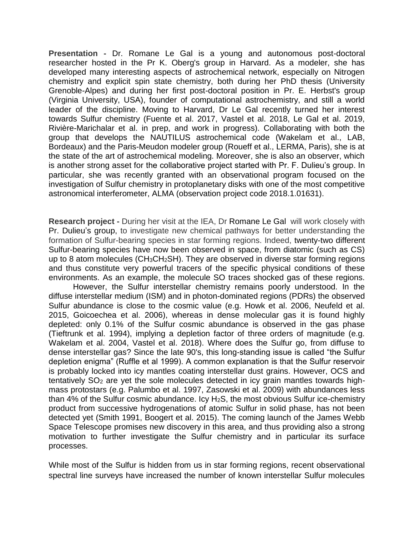**Presentation -** Dr. Romane Le Gal is a young and autonomous post-doctoral researcher hosted in the Pr K. Oberg's group in Harvard. As a modeler, she has developed many interesting aspects of astrochemical network, especially on Nitrogen chemistry and explicit spin state chemistry, both during her PhD thesis (University Grenoble-Alpes) and during her first post-doctoral position in Pr. E. Herbst's group (Virginia University, USA), founder of computational astrochemistry, and still a world leader of the discipline. Moving to Harvard, Dr Le Gal recently turned her interest towards Sulfur chemistry (Fuente et al. 2017, Vastel et al. 2018, Le Gal et al. 2019, Rivière-Marichalar et al. in prep, and work in progress). Collaborating with both the group that develops the NAUTILUS astrochemical code (Wakelam et al., LAB, Bordeaux) and the Paris-Meudon modeler group (Roueff et al., LERMA, Paris), she is at the state of the art of astrochemical modeling. Moreover, she is also an observer, which is another strong asset for the collaborative project started with Pr. F. Dulieu's group. In particular, she was recently granted with an observational program focused on the investigation of Sulfur chemistry in protoplanetary disks with one of the most competitive astronomical interferometer, ALMA (observation project code 2018.1.01631).

**Research project -** During her visit at the IEA, Dr Romane Le Gal will work closely with Pr. Dulieu's group, to investigate new chemical pathways for better understanding the formation of Sulfur-bearing species in star forming regions. Indeed, twenty-two different Sulfur-bearing species have now been observed in space, from diatomic (such as CS) up to 8 atom molecules (CH3CH2SH). They are observed in diverse star forming regions and thus constitute very powerful tracers of the specific physical conditions of these environments. As an example, the molecule SO traces shocked gas of these regions.

However, the Sulfur interstellar chemistry remains poorly understood. In the diffuse interstellar medium (ISM) and in photon-dominated regions (PDRs) the observed Sulfur abundance is close to the cosmic value (e.g. Howk et al. 2006, Neufeld et al. 2015, Goicoechea et al. 2006), whereas in dense molecular gas it is found highly depleted: only 0.1% of the Sulfur cosmic abundance is observed in the gas phase (Tieftrunk et al. 1994), implying a depletion factor of three orders of magnitude (e.g. Wakelam et al. 2004, Vastel et al. 2018). Where does the Sulfur go, from diffuse to dense interstellar gas? Since the late 90's, this long-standing issue is called "the Sulfur depletion enigma" (Ruffle et al 1999). A common explanation is that the Sulfur reservoir is probably locked into icy mantles coating interstellar dust grains. However, OCS and tentatively SO<sub>2</sub> are yet the sole molecules detected in icy grain mantles towards highmass protostars (e.g. Palumbo et al. 1997, Zasowski et al. 2009) with abundances less than  $4\%$  of the Sulfur cosmic abundance. Icy  $H_2S$ , the most obvious Sulfur ice-chemistry product from successive hydrogenations of atomic Sulfur in solid phase, has not been detected yet (Smith 1991, Boogert et al. 2015). The coming launch of the James Webb Space Telescope promises new discovery in this area, and thus providing also a strong motivation to further investigate the Sulfur chemistry and in particular its surface processes.

While most of the Sulfur is hidden from us in star forming regions, recent observational spectral line surveys have increased the number of known interstellar Sulfur molecules